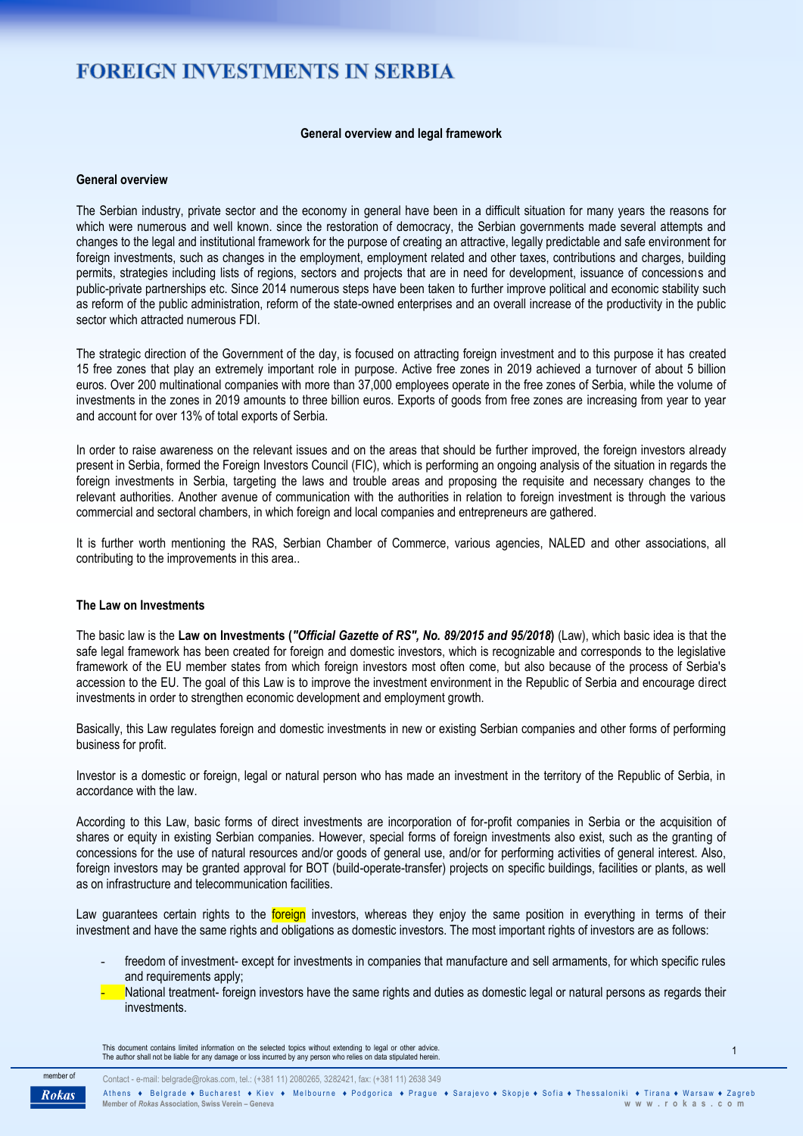# **FOREIGN INVESTMENTS IN SERBIA**

# **General overview and legal framework**

#### **General overview**

The Serbian industry, private sector and the economy in general have been in a difficult situation for many years the reasons for which were numerous and well known. since the restoration of democracy, the Serbian governments made several attempts and changes to the legal and institutional framework for the purpose of creating an attractive, legally predictable and safe environment for foreign investments, such as changes in the employment, employment related and other taxes, contributions and charges, building permits, strategies including lists of regions, sectors and projects that are in need for development, issuance of concessions and public-private partnerships etc. Since 2014 numerous steps have been taken to further improve political and economic stability such as reform of the public administration, reform of the state-owned enterprises and an overall increase of the productivity in the public sector which attracted numerous FDI.

The strategic direction of the Government of the day, is focused on attracting foreign investment and to this purpose it has created 15 free zones that play an extremely important role in purpose. Active free zones in 2019 achieved a turnover of about 5 billion euros. Over 200 multinational companies with more than 37,000 employees operate in the free zones of Serbia, while the volume of investments in the zones in 2019 amounts to three billion euros. Exports of goods from free zones are increasing from year to year and account for over 13% of total exports of Serbia.

In order to raise awareness on the relevant issues and on the areas that should be further improved, the foreign investors already present in Serbia, formed the Foreign Investors Council (FIC), which is performing an ongoing analysis of the situation in regards the foreign investments in Serbia, targeting the laws and trouble areas and proposing the requisite and necessary changes to the relevant authorities. Another avenue of communication with the authorities in relation to foreign investment is through the various commercial and sectoral chambers, in which foreign and local companies and entrepreneurs are gathered.

It is further worth mentioning the RAS, Serbian Chamber of Commerce, various agencies, NALED and other associations, all contributing to the improvements in this area..

## **The Law on Investments**

The basic law is the **Law on Investments (***"Official Gazette of RS", No. 89/2015 and 95/2018***)** (Law), which basic idea is that the safe legal framework has been created for foreign and domestic investors, which is recognizable and corresponds to the legislative framework of the EU member states from which foreign investors most often come, but also because of the process of Serbia's accession to the EU. The goal of this Law is to improve the investment environment in the Republic of Serbia and encourage direct investments in order to strengthen economic development and employment growth.

Basically, this Law regulates foreign and domestic investments in new or existing Serbian companies and other forms of performing business for profit.

Investor is a domestic or foreign, legal or natural person who has made an investment in the territory of the Republic of Serbia, in accordance with the law.

According to this Law, basic forms of direct investments are incorporation of for-profit companies in Serbia or the acquisition of shares or equity in existing Serbian companies. However, special forms of foreign investments also exist, such as the granting of concessions for the use of natural resources and/or goods of general use, and/or for performing activities of general interest. Also, foreign investors may be granted approval for BOT (build-operate-transfer) projects on specific buildings, facilities or plants, as well as on infrastructure and telecommunication facilities.

Law guarantees certain rights to the foreign investors, whereas they enjoy the same position in everything in terms of their investment and have the same rights and obligations as domestic investors. The most important rights of investors are as follows:

- freedom of investment- except for investments in companies that manufacture and sell armaments, for which specific rules and requirements apply;
- National treatment- foreign investors have the same rights and duties as domestic legal or natural persons as regards their investments.

This document contains limited information on the selected topics without extending to legal or other advice.<br>The author shall not be liable for any damage or loss incurred by any person who relies on data stipulated herei

1

Contact - e-mail: belgrade@rokas.com, tel.: (+381 11) 2080265, 3282421, fax: (+381 11) 2638 349